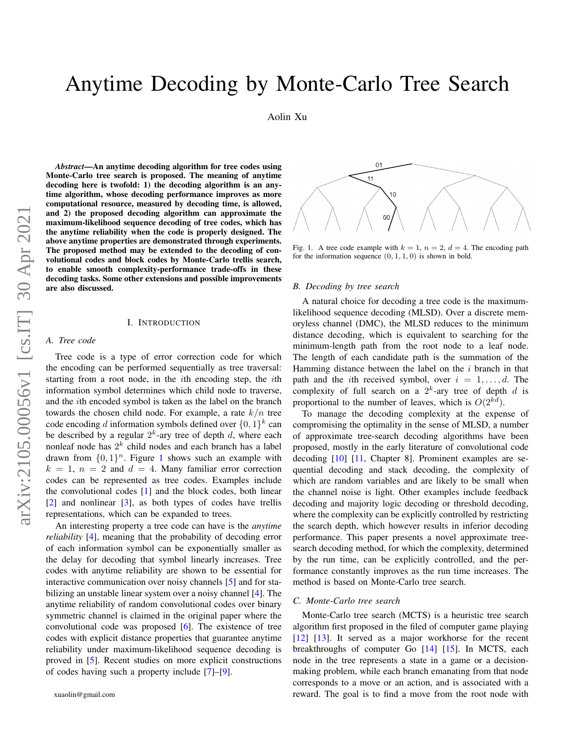# Anytime Decoding by Monte-Carlo Tree Search

Aolin Xu

*Abstract*—An anytime decoding algorithm for tree codes using Monte-Carlo tree search is proposed. The meaning of anytime decoding here is twofold: 1) the decoding algorithm is an anytime algorithm, whose decoding performance improves as more computational resource, measured by decoding time, is allowed, and 2) the proposed decoding algorithm can approximate the maximum-likelihood sequence decoding of tree codes, which has the anytime reliability when the code is properly designed. The above anytime properties are demonstrated through experiments. The proposed method may be extended to the decoding of convolutional codes and block codes by Monte-Carlo trellis search, to enable smooth complexity-performance trade-offs in these decoding tasks. Some other extensions and possible improvements are also discussed.

#### I. INTRODUCTION

# *A. Tree code*

Tree code is a type of error correction code for which the encoding can be performed sequentially as tree traversal: starting from a root node, in the *i*th encoding step, the *i*th information symbol determines which child node to traverse, and the ith encoded symbol is taken as the label on the branch towards the chosen child node. For example, a rate  $k/n$  tree code encoding d information symbols defined over  $\{0,1\}^k$  can be described by a regular  $2^k$ -ary tree of depth d, where each nonleaf node has  $2^k$  child nodes and each branch has a label drawn from  $\{0, 1\}^n$  $\{0, 1\}^n$  $\{0, 1\}^n$ . Figure 1 shows such an example with  $k = 1$ ,  $n = 2$  and  $d = 4$ . Many familiar error correction codes can be represented as tree codes. Examples include the convolutional codes [\[1\]](#page-4-0) and the block codes, both linear [\[2\]](#page-4-1) and nonlinear [\[3\]](#page-4-2), as both types of codes have trellis representations, which can be expanded to trees.

An interesting property a tree code can have is the *anytime reliability* [\[4\]](#page-4-3), meaning that the probability of decoding error of each information symbol can be exponentially smaller as the delay for decoding that symbol linearly increases. Tree codes with anytime reliability are shown to be essential for interactive communication over noisy channels [\[5\]](#page-4-4) and for stabilizing an unstable linear system over a noisy channel [\[4\]](#page-4-3). The anytime reliability of random convolutional codes over binary symmetric channel is claimed in the original paper where the convolutional code was proposed [\[6\]](#page-4-5). The existence of tree codes with explicit distance properties that guarantee anytime reliability under maximum-likelihood sequence decoding is proved in [\[5\]](#page-4-4). Recent studies on more explicit constructions of codes having such a property include [\[7\]](#page-4-6)–[\[9\]](#page-4-7).



<span id="page-0-0"></span>Fig. 1. A tree code example with  $k = 1$ ,  $n = 2$ ,  $d = 4$ . The encoding path for the information sequence  $(0, 1, 1, 0)$  is shown in bold.

#### <span id="page-0-1"></span>*B. Decoding by tree search*

A natural choice for decoding a tree code is the maximumlikelihood sequence decoding (MLSD). Over a discrete memoryless channel (DMC), the MLSD reduces to the minimum distance decoding, which is equivalent to searching for the minimum-length path from the root node to a leaf node. The length of each candidate path is the summation of the Hamming distance between the label on the  $i$  branch in that path and the *i*th received symbol, over  $i = 1, \ldots, d$ . The complexity of full search on a  $2^k$ -ary tree of depth d is proportional to the number of leaves, which is  $O(2^{kd})$ .

To manage the decoding complexity at the expense of compromising the optimality in the sense of MLSD, a number of approximate tree-search decoding algorithms have been proposed, mostly in the early literature of convolutional code decoding [\[10\]](#page-4-8) [\[11,](#page-4-9) Chapter 8]. Prominent examples are sequential decoding and stack decoding, the complexity of which are random variables and are likely to be small when the channel noise is light. Other examples include feedback decoding and majority logic decoding or threshold decoding, where the complexity can be explicitly controlled by restricting the search depth, which however results in inferior decoding performance. This paper presents a novel approximate treesearch decoding method, for which the complexity, determined by the run time, can be explicitly controlled, and the performance constantly improves as the run time increases. The method is based on Monte-Carlo tree search.

# *C. Monte-Carlo tree search*

Monte-Carlo tree search (MCTS) is a heuristic tree search algorithm first proposed in the filed of computer game playing [\[12\]](#page-4-10) [\[13\]](#page-4-11). It served as a major workhorse for the recent breakthroughs of computer Go [\[14\]](#page-4-12) [\[15\]](#page-5-0). In MCTS, each node in the tree represents a state in a game or a decisionmaking problem, while each branch emanating from that node corresponds to a move or an action, and is associated with a reward. The goal is to find a move from the root node with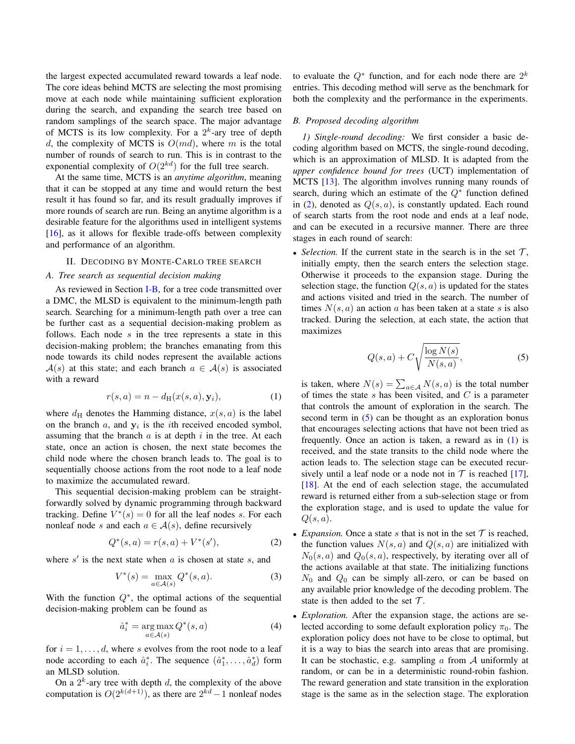the largest expected accumulated reward towards a leaf node. The core ideas behind MCTS are selecting the most promising move at each node while maintaining sufficient exploration during the search, and expanding the search tree based on random samplings of the search space. The major advantage of MCTS is its low complexity. For a  $2^k$ -ary tree of depth d, the complexity of MCTS is  $O(md)$ , where m is the total number of rounds of search to run. This is in contrast to the exponential complexity of  $O(2^{kd})$  for the full tree search.

At the same time, MCTS is an *anytime algorithm*, meaning that it can be stopped at any time and would return the best result it has found so far, and its result gradually improves if more rounds of search are run. Being an anytime algorithm is a desirable feature for the algorithms used in intelligent systems [\[16\]](#page-5-1), as it allows for flexible trade-offs between complexity and performance of an algorithm.

## II. DECODING BY MONTE-CARLO TREE SEARCH

# *A. Tree search as sequential decision making*

As reviewed in Section [I-B,](#page-0-1) for a tree code transmitted over a DMC, the MLSD is equivalent to the minimum-length path search. Searching for a minimum-length path over a tree can be further cast as a sequential decision-making problem as follows. Each node  $s$  in the tree represents a state in this decision-making problem; the branches emanating from this node towards its child nodes represent the available actions  $A(s)$  at this state; and each branch  $a \in A(s)$  is associated with a reward

$$
r(s,a) = n - d_{\mathrm{H}}(x(s,a), \mathbf{y}_i),\tag{1}
$$

where  $d_H$  denotes the Hamming distance,  $x(s, a)$  is the label on the branch  $a$ , and  $y_i$  is the *i*th received encoded symbol, assuming that the branch  $\alpha$  is at depth  $i$  in the tree. At each state, once an action is chosen, the next state becomes the child node where the chosen branch leads to. The goal is to sequentially choose actions from the root node to a leaf node to maximize the accumulated reward.

This sequential decision-making problem can be straightforwardly solved by dynamic programming through backward tracking. Define  $V^*(s) = 0$  for all the leaf nodes s. For each nonleaf node s and each  $a \in \mathcal{A}(s)$ , define recursively

$$
Q^*(s, a) = r(s, a) + V^*(s'), \tag{2}
$$

where  $s'$  is the next state when  $a$  is chosen at state  $s$ , and

$$
V^*(s) = \max_{a \in \mathcal{A}(s)} Q^*(s, a).
$$
 (3)

With the function  $Q^*$ , the optimal actions of the sequential decision-making problem can be found as

$$
\hat{a}_i^* = \underset{a \in \mathcal{A}(s)}{\arg \max} Q^*(s, a) \tag{4}
$$

for  $i = 1, \ldots, d$ , where s evolves from the root node to a leaf node according to each  $\hat{a}_i^*$ . The sequence  $(\hat{a}_1^*, \dots, \hat{a}_d^*)$  form an MLSD solution.

On a  $2^k$ -ary tree with depth d, the complexity of the above computation is  $O(2^{k(d+1)})$ , as there are  $2^{kd}-1$  nonleaf nodes

to evaluate the  $Q^*$  function, and for each node there are  $2^k$ entries. This decoding method will serve as the benchmark for both the complexity and the performance in the experiments.

#### *B. Proposed decoding algorithm*

*1) Single-round decoding:* We first consider a basic decoding algorithm based on MCTS, the single-round decoding, which is an approximation of MLSD. It is adapted from the *upper confidence bound for trees* (UCT) implementation of MCTS [\[13\]](#page-4-11). The algorithm involves running many rounds of search, during which an estimate of the  $Q^*$  function defined in  $(2)$ , denoted as  $Q(s, a)$ , is constantly updated. Each round of search starts from the root node and ends at a leaf node, and can be executed in a recursive manner. There are three stages in each round of search:

• *Selection*. If the current state in the search is in the set  $\mathcal{T}$ , initially empty, then the search enters the selection stage. Otherwise it proceeds to the expansion stage. During the selection stage, the function  $Q(s, a)$  is updated for the states and actions visited and tried in the search. The number of times  $N(s, a)$  an action a has been taken at a state s is also tracked. During the selection, at each state, the action that maximizes

<span id="page-1-1"></span>
$$
Q(s,a) + C\sqrt{\frac{\log N(s)}{N(s,a)}},\tag{5}
$$

<span id="page-1-2"></span>is taken, where  $N(s) = \sum_{a \in A} N(s, a)$  is the total number of times the state  $s$  has been visited, and  $C$  is a parameter that controls the amount of exploration in the search. The second term in  $(5)$  can be thought as an exploration bonus that encourages selecting actions that have not been tried as frequently. Once an action is taken, a reward as in [\(1\)](#page-1-2) is received, and the state transits to the child node where the action leads to. The selection stage can be executed recursively until a leaf node or a node not in  $\mathcal T$  is reached [\[17\]](#page-5-2), [\[18\]](#page-5-3). At the end of each selection stage, the accumulated reward is returned either from a sub-selection stage or from the exploration stage, and is used to update the value for  $Q(s, a)$ .

- <span id="page-1-0"></span>• *Expansion*. Once a state s that is not in the set  $\mathcal T$  is reached, the function values  $N(s, a)$  and  $Q(s, a)$  are initialized with  $N_0(s, a)$  and  $Q_0(s, a)$ , respectively, by iterating over all of the actions available at that state. The initializing functions  $N_0$  and  $Q_0$  can be simply all-zero, or can be based on any available prior knowledge of the decoding problem. The state is then added to the set  $\mathcal{T}$ .
- *Exploration.* After the expansion stage, the actions are selected according to some default exploration policy  $\pi_0$ . The exploration policy does not have to be close to optimal, but it is a way to bias the search into areas that are promising. It can be stochastic, e.g. sampling  $\alpha$  from  $\mathcal A$  uniformly at random, or can be in a deterministic round-robin fashion. The reward generation and state transition in the exploration stage is the same as in the selection stage. The exploration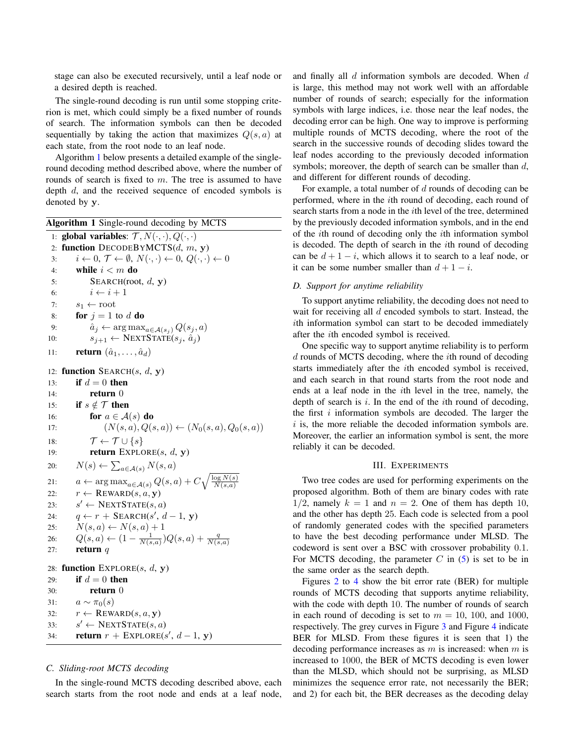stage can also be executed recursively, until a leaf node or a desired depth is reached.

The single-round decoding is run until some stopping criterion is met, which could simply be a fixed number of rounds of search. The information symbols can then be decoded sequentially by taking the action that maximizes  $Q(s, a)$  at each state, from the root node to an leaf node.

Algorithm [1](#page-2-0) below presents a detailed example of the singleround decoding method described above, where the number of rounds of search is fixed to  $m$ . The tree is assumed to have depth d, and the received sequence of encoded symbols is denoted by y.

<span id="page-2-0"></span>Algorithm 1 Single-round decoding by MCTS 1: global variables:  $\mathcal{T}, N(\cdot, \cdot), Q(\cdot, \cdot)$ 2: function  $DECODEBYMCTS(d, m, y)$ 3:  $i \leftarrow 0, \mathcal{T} \leftarrow \emptyset, N(\cdot, \cdot) \leftarrow 0, Q(\cdot, \cdot) \leftarrow 0$ 4: while  $i < m$  do 5: SEARCH(root,  $d$ ,  $y$ ) 6:  $i \leftarrow i + 1$ 7:  $s_1 \leftarrow \text{root}$ 8: **for**  $j = 1$  to d **do** 9:  $\hat{a}_j \leftarrow \arg \max_{a \in \mathcal{A}(s_i)} Q(s_j, a)$ 10:  $s_{j+1} \leftarrow \text{NEXTSTATE}(s_j, \hat{a}_j)$ 11: **return**  $(\hat{a}_1, \ldots, \hat{a}_d)$ 12: function SEARCH $(s, d, y)$ 13: if  $d = 0$  then 14: **return** 0 15: if  $s \notin \mathcal{T}$  then 16: **for**  $a \in \mathcal{A}(s)$  **do** 17:  $(N(s, a), Q(s, a)) \leftarrow (N_0(s, a), Q_0(s, a))$ 18:  $\mathcal{T} \leftarrow \mathcal{T} \cup \{s\}$ 19: **return**  $\text{EXPLORE}(s, d, \mathbf{v})$ 20:  $N(s) \leftarrow \sum_{a \in \mathcal{A}(s)} N(s, a)$ 21:  $a \leftarrow \arg \max_{a \in \mathcal{A}(s)} Q(s, a) + C \sqrt{\frac{\log N(s)}{N(s, a)}}$ 22:  $r \leftarrow \text{REWARD}(s, a, y)$  $23.$  $s' \leftarrow \text{NextSTATE}(s, a)$ 24:  $q \leftarrow r + \text{SEARCH}(s', d-1, y)$ 25:  $N(s, a) \leftarrow N(s, a) + 1$ 26:  $Q(s, a) \leftarrow (1 - \frac{1}{N(s, a)})Q(s, a) + \frac{q}{N(s, a)}$ 27: **return**  $q$ 28: function  $\text{EXPLORE}(s, d, y)$ 29: if  $d = 0$  then 30: return 0 31:  $a \sim \pi_0(s)$ 32:  $r \leftarrow \text{REWARD}(s, a, y)$  $33:$  $s' \leftarrow \text{NextSTATE}(s, a)$ 34: **return**  $r + \text{EXPLORE}(s', d-1, y)$ 

#### *C. Sliding-root MCTS decoding*

In the single-round MCTS decoding described above, each search starts from the root node and ends at a leaf node, and finally all  $d$  information symbols are decoded. When  $d$ is large, this method may not work well with an affordable number of rounds of search; especially for the information symbols with large indices, i.e. those near the leaf nodes, the decoding error can be high. One way to improve is performing multiple rounds of MCTS decoding, where the root of the search in the successive rounds of decoding slides toward the leaf nodes according to the previously decoded information symbols; moreover, the depth of search can be smaller than  $d$ , and different for different rounds of decoding.

For example, a total number of  $d$  rounds of decoding can be performed, where in the ith round of decoding, each round of search starts from a node in the ith level of the tree, determined by the previously decoded information symbols, and in the end of the ith round of decoding only the ith information symbol is decoded. The depth of search in the ith round of decoding can be  $d + 1 - i$ , which allows it to search to a leaf node, or it can be some number smaller than  $d + 1 - i$ .

## *D. Support for anytime reliability*

To support anytime reliability, the decoding does not need to wait for receiving all  $d$  encoded symbols to start. Instead, the ith information symbol can start to be decoded immediately after the ith encoded symbol is received.

One specific way to support anytime reliability is to perform d rounds of MCTS decoding, where the ith round of decoding starts immediately after the ith encoded symbol is received, and each search in that round starts from the root node and ends at a leaf node in the ith level in the tree, namely, the depth of search is  $i$ . In the end of the *i*th round of decoding, the first  $i$  information symbols are decoded. The larger the  $i$  is, the more reliable the decoded information symbols are. Moreover, the earlier an information symbol is sent, the more reliably it can be decoded.

# III. EXPERIMENTS

Two tree codes are used for performing experiments on the proposed algorithm. Both of them are binary codes with rate  $1/2$ , namely  $k = 1$  and  $n = 2$ . One of them has depth 10, and the other has depth 25. Each code is selected from a pool of randomly generated codes with the specified parameters to have the best decoding performance under MLSD. The codeword is sent over a BSC with crossover probability 0.1. For MCTS decoding, the parameter  $C$  in  $(5)$  is set to be in the same order as the search depth.

Figures [2](#page-3-0) to [4](#page-3-1) show the bit error rate (BER) for multiple rounds of MCTS decoding that supports anytime reliability, with the code with depth 10. The number of rounds of search in each round of decoding is set to  $m = 10$ , 100, and 1000, respectively. The grey curves in Figure [3](#page-3-2) and Figure [4](#page-3-1) indicate BER for MLSD. From these figures it is seen that 1) the decoding performance increases as  $m$  is increased: when  $m$  is increased to 1000, the BER of MCTS decoding is even lower than the MLSD, which should not be surprising, as MLSD minimizes the sequence error rate, not necessarily the BER; and 2) for each bit, the BER decreases as the decoding delay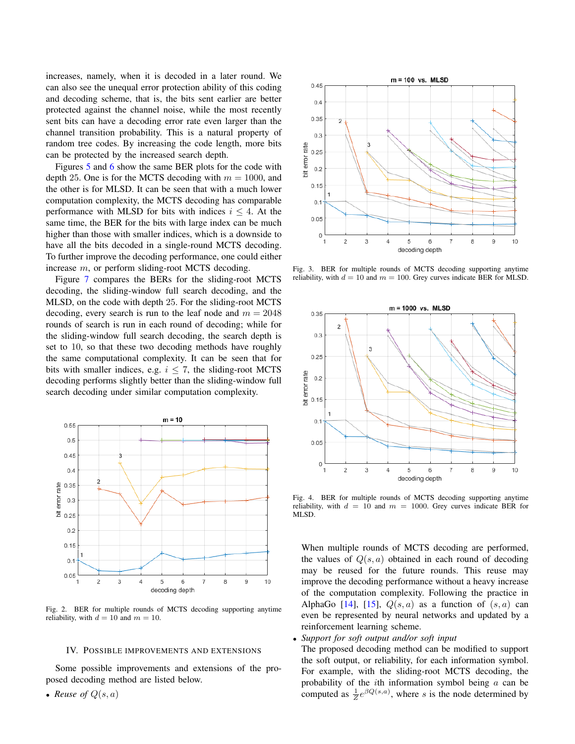increases, namely, when it is decoded in a later round. We can also see the unequal error protection ability of this coding and decoding scheme, that is, the bits sent earlier are better protected against the channel noise, while the most recently sent bits can have a decoding error rate even larger than the channel transition probability. This is a natural property of random tree codes. By increasing the code length, more bits can be protected by the increased search depth.

Figures [5](#page-4-13) and [6](#page-4-14) show the same BER plots for the code with depth 25. One is for the MCTS decoding with  $m = 1000$ , and the other is for MLSD. It can be seen that with a much lower computation complexity, the MCTS decoding has comparable performance with MLSD for bits with indices  $i \leq 4$ . At the same time, the BER for the bits with large index can be much higher than those with smaller indices, which is a downside to have all the bits decoded in a single-round MCTS decoding. To further improve the decoding performance, one could either increase m, or perform sliding-root MCTS decoding.

Figure [7](#page-4-15) compares the BERs for the sliding-root MCTS decoding, the sliding-window full search decoding, and the MLSD, on the code with depth 25. For the sliding-root MCTS decoding, every search is run to the leaf node and  $m = 2048$ rounds of search is run in each round of decoding; while for the sliding-window full search decoding, the search depth is set to 10, so that these two decoding methods have roughly the same computational complexity. It can be seen that for bits with smaller indices, e.g.  $i \le 7$ , the sliding-root MCTS decoding performs slightly better than the sliding-window full search decoding under similar computation complexity.



<span id="page-3-0"></span>Fig. 2. BER for multiple rounds of MCTS decoding supporting anytime reliability, with  $d = 10$  and  $m = 10$ .

# IV. POSSIBLE IMPROVEMENTS AND EXTENSIONS

Some possible improvements and extensions of the proposed decoding method are listed below.

• *Reuse of*  $Q(s, a)$ 



<span id="page-3-2"></span>Fig. 3. BER for multiple rounds of MCTS decoding supporting anytime reliability, with  $d = 10$  and  $m = 100$ . Grey curves indicate BER for MLSD.



<span id="page-3-1"></span>Fig. 4. BER for multiple rounds of MCTS decoding supporting anytime reliability, with  $d = 10$  and  $m = 1000$ . Grey curves indicate BER for MLSD.

When multiple rounds of MCTS decoding are performed, the values of  $Q(s, a)$  obtained in each round of decoding may be reused for the future rounds. This reuse may improve the decoding performance without a heavy increase of the computation complexity. Following the practice in AlphaGo [\[14\]](#page-4-12), [\[15\]](#page-5-0),  $Q(s, a)$  as a function of  $(s, a)$  can even be represented by neural networks and updated by a reinforcement learning scheme.

• *Support for soft output and/or soft input*

The proposed decoding method can be modified to support the soft output, or reliability, for each information symbol. For example, with the sliding-root MCTS decoding, the probability of the ith information symbol being a can be computed as  $\frac{1}{Z}e^{\beta Q(s,a)}$ , where s is the node determined by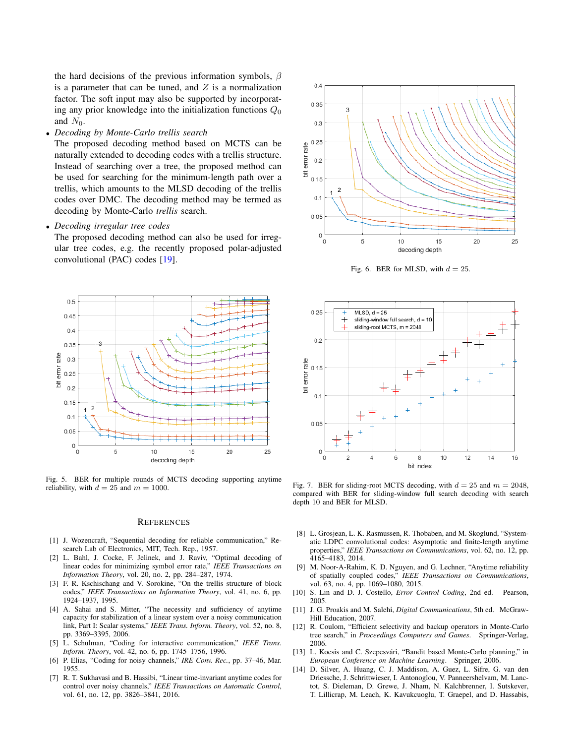the hard decisions of the previous information symbols,  $\beta$ is a parameter that can be tuned, and  $Z$  is a normalization factor. The soft input may also be supported by incorporating any prior knowledge into the initialization functions  $Q_0$ and  $N_0$ .

• *Decoding by Monte-Carlo trellis search*

The proposed decoding method based on MCTS can be naturally extended to decoding codes with a trellis structure. Instead of searching over a tree, the proposed method can be used for searching for the minimum-length path over a trellis, which amounts to the MLSD decoding of the trellis codes over DMC. The decoding method may be termed as decoding by Monte-Carlo *trellis* search.

• *Decoding irregular tree codes*

The proposed decoding method can also be used for irregular tree codes, e.g. the recently proposed polar-adjusted convolutional (PAC) codes [\[19\]](#page-5-4).



<span id="page-4-13"></span>Fig. 5. BER for multiple rounds of MCTS decoding supporting anytime reliability, with  $d = 25$  and  $m = 1000$ .

### **REFERENCES**

- <span id="page-4-0"></span>[1] J. Wozencraft, "Sequential decoding for reliable communication," Research Lab of Electronics, MIT, Tech. Rep., 1957.
- <span id="page-4-1"></span>[2] L. Bahl, J. Cocke, F. Jelinek, and J. Raviv, "Optimal decoding of linear codes for minimizing symbol error rate," *IEEE Transactions on Information Theory*, vol. 20, no. 2, pp. 284–287, 1974.
- <span id="page-4-2"></span>[3] F. R. Kschischang and V. Sorokine, "On the trellis structure of block codes," *IEEE Transactions on Information Theory*, vol. 41, no. 6, pp. 1924–1937, 1995.
- <span id="page-4-3"></span>[4] A. Sahai and S. Mitter, "The necessity and sufficiency of anytime capacity for stabilization of a linear system over a noisy communication link, Part I: Scalar systems," *IEEE Trans. Inform. Theory*, vol. 52, no. 8, pp. 3369–3395, 2006.
- <span id="page-4-4"></span>[5] L. Schulman, "Coding for interactive communication," *IEEE Trans. Inform. Theory*, vol. 42, no. 6, pp. 1745–1756, 1996.
- <span id="page-4-5"></span>[6] P. Elias, "Coding for noisy channels," *IRE Conv. Rec.*, pp. 37–46, Mar. 1955.
- <span id="page-4-6"></span>[7] R. T. Sukhavasi and B. Hassibi, "Linear time-invariant anytime codes for control over noisy channels," *IEEE Transactions on Automatic Control*, vol. 61, no. 12, pp. 3826–3841, 2016.



<span id="page-4-14"></span>Fig. 6. BER for MLSD, with  $d = 25$ .



<span id="page-4-15"></span>Fig. 7. BER for sliding-root MCTS decoding, with  $d = 25$  and  $m = 2048$ , compared with BER for sliding-window full search decoding with search depth 10 and BER for MLSD.

- [8] L. Grosjean, L. K. Rasmussen, R. Thobaben, and M. Skoglund, "Systematic LDPC convolutional codes: Asymptotic and finite-length anytime properties," *IEEE Transactions on Communications*, vol. 62, no. 12, pp. 4165–4183, 2014.
- <span id="page-4-7"></span>[9] M. Noor-A-Rahim, K. D. Nguyen, and G. Lechner, "Anytime reliability of spatially coupled codes," *IEEE Transactions on Communications*, vol. 63, no. 4, pp. 1069–1080, 2015.
- <span id="page-4-8"></span>[10] S. Lin and D. J. Costello, *Error Control Coding*, 2nd ed. Pearson, 2005.
- <span id="page-4-9"></span>[11] J. G. Proakis and M. Salehi, *Digital Communications*, 5th ed. McGraw-Hill Education, 2007.
- <span id="page-4-10"></span>[12] R. Coulom, "Efficient selectivity and backup operators in Monte-Carlo tree search," in *Proceedings Computers and Games*. Springer-Verlag, 2006.
- <span id="page-4-11"></span>[13] L. Kocsis and C. Szepesvári, "Bandit based Monte-Carlo planning," in *European Conference on Machine Learning*. Springer, 2006.
- <span id="page-4-12"></span>[14] D. Silver, A. Huang, C. J. Maddison, A. Guez, L. Sifre, G. van den Driessche, J. Schrittwieser, I. Antonoglou, V. Panneershelvam, M. Lanctot, S. Dieleman, D. Grewe, J. Nham, N. Kalchbrenner, I. Sutskever, T. Lillicrap, M. Leach, K. Kavukcuoglu, T. Graepel, and D. Hassabis,